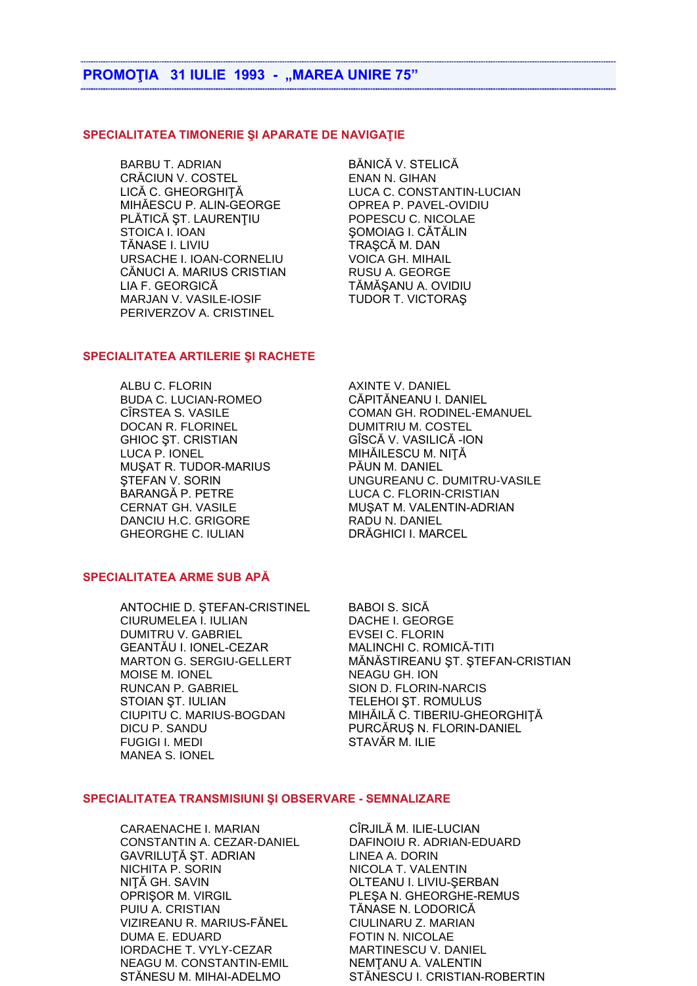## **PROMOTIA 31 IULIE 1993 - "MAREA UNIRE 75"**

### SPECIALITATEA TIMONERIE ȘI APARATE DE NAVIGAȚIE

BARBU T. ADRIAN CRĂCIUN V. COSTEL LICĂ C. GHEORGHIȚĂ MIHĂESCU P. ALIN-GEORGE PLĂTICĂ ȘT. LAURENTIU STOICA I. IOAN TĂNASE I. LIVIU URSACHE I. IOAN-CORNELIU CĂNUCI A. MARIUS CRISTIAN LIA F. GEORGICĂ MARJAN V. VASILE-IOSIF PERIVERZOV A. CRISTINEL

BĂNICĂ V. STELICĂ **ENAN N. GIHAN** LUCA C. CONSTANTIN-LUCIAN OPREA P. PAVEL-OVIDIU POPESCU C. NICOLAE SOMOIAG I. CĂTĂLIN TRAȘCĂ M. DAN **VOICA GH. MIHAIL RUSU A. GEORGE** TĂMĂSANU A. OVIDIU TUDOR T. VICTORAŞ

## SPECIALITATEA ARTILERIE SI RACHETE

ALBU C. FLORIN **BUDA C. LUCIAN-ROMEO** CIRSTEA S. VASILE DOCAN R. FLORINEL **GHIOC ST. CRISTIAN** LUCA P. IONEL MUSAT R. TUDOR-MARIUS **STEFAN V. SORIN** BARANGĂ P. PETRE **CERNAT GH. VASILE** DANCIU H.C. GRIGORE **GHEORGHE C. IULIAN** 

#### SPECIALITATEA ARME SUB APĂ

ANTOCHIE D. STEFAN-CRISTINEL CIURUMELEA I. IULIAN **DUMITRU V. GABRIEL** GEANTĂU I. IONEL-CEZAR **MARTON G. SERGIU-GELLERT** MOISE M. IONEL RUNCAN P. GABRIEL STOIAN ST. IULIAN CIUPITU C. MARIUS-BOGDAN DICU P. SANDU **FUGIGI I. MEDI MANEA S. IONEL** 

**AXINTE V. DANIEL** CĂPITĂNEANU I. DANIEL **COMAN GH. RODINEL-EMANUEL** DUMITRIU M. COSTEL GÎSCĂ V. VASILICĂ - ION MIHĂILESCU M. NIȚĂ PĂUN M. DANIEL UNGUREANU C. DUMITRU-VASILE LUCA C. FLORIN-CRISTIAN MUŞAT M. VALENTIN-ADRIAN RADU N. DANIEL DRĂGHICI I. MARCEL

**BABOI S. SICĂ** DACHE I. GEORGE **EVSEI C. FLORIN** MALINCHI C. ROMICĂ-TITI MĂNĂSTIREANU ȘT. ȘTEFAN-CRISTIAN **NEAGU GH. ION** SION D. FLORIN-NARCIS TELEHOI ST. ROMULUS MIHĂILĂ C. TIBERIU-GHEORGHIȚĂ PURCĂRUȘ N. FLORIN-DANIEL STAVĂR M. ILIE

#### **SPECIALITATEA TRANSMISIUNI SI OBSERVARE - SEMNALIZARE**

**CARAENACHE I. MARIAN** CONSTANTIN A. CEZAR-DANIEL GAVRILUȚĂ ȘT. ADRIAN NICHITA P. SORIN NITĂ GH. SAVIN **OPRISOR M. VIRGIL** PUIU A. CRISTIAN VIZIREANU R. MARIUS-FĂNEL **DUMA E. EDUARD IORDACHE T. VYLY-CEZAR NEAGU M. CONSTANTIN-EMIL** STĂNESU M. MIHAI-ADELMO

CÎRJILĂ M. ILIE-LUCIAN DAFINOIU R. ADRIAN-EDUARD LINEA A. DORIN NICOLA T. VALENTIN OLTEANU I. LIVIU-SERBAN PLESA N. GHEORGHE-REMUS TĂNASE N. LODORICĂ CIULINARU Z. MARIAN **FOTIN N. NICOLAE MARTINESCU V. DANIEL** NEMTANU A. VALENTIN STĂNESCU I. CRISTIAN-ROBERTIN